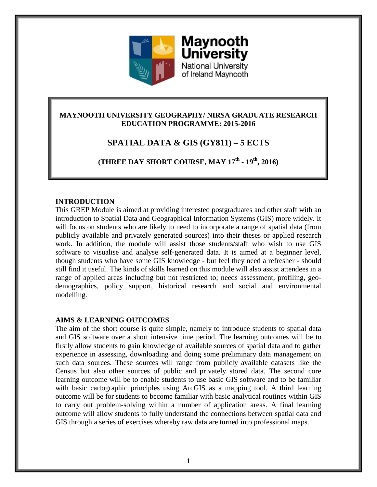

**University** National University of Ireland Maynooth

**Maynooth** 

## **MAYNOOTH UNIVERSITY GEOGRAPHY/ NIRSA GRADUATE RESEARCH EDUCATION PROGRAMME: 2015-2016**

# **SPATIAL DATA & GIS (GY811) – 5 ECTS**

**(THREE DAY SHORT COURSE, MAY 17 th - 19 th, 2016)**

## **INTRODUCTION**

This GREP Module is aimed at providing interested postgraduates and other staff with an introduction to Spatial Data and Geographical Information Systems (GIS) more widely. It will focus on students who are likely to need to incorporate a range of spatial data (from publicly available and privately generated sources) into their theses or applied research work. In addition, the module will assist those students/staff who wish to use GIS software to visualise and analyse self-generated data. It is aimed at a beginner level, though students who have some GIS knowledge - but feel they need a refresher - should still find it useful. The kinds of skills learned on this module will also assist attendees in a range of applied areas including but not restricted to; needs assessment, profiling, geodemographics, policy support, historical research and social and environmental modelling.

## **AIMS & LEARNING OUTCOMES**

The aim of the short course is quite simple, namely to introduce students to spatial data and GIS software over a short intensive time period. The learning outcomes will be to firstly allow students to gain knowledge of available sources of spatial data and to gather experience in assessing, downloading and doing some preliminary data management on such data sources. These sources will range from publicly available datasets like the Census but also other sources of public and privately stored data. The second core learning outcome will be to enable students to use basic GIS software and to be familiar with basic cartographic principles using ArcGIS as a mapping tool. A third learning outcome will be for students to become familiar with basic analytical routines within GIS to carry out problem-solving within a number of application areas. A final learning outcome will allow students to fully understand the connections between spatial data and GIS through a series of exercises whereby raw data are turned into professional maps.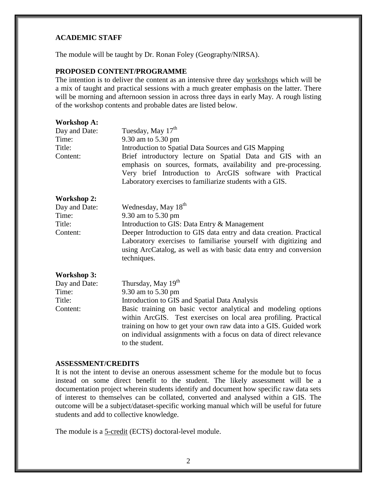#### **ACADEMIC STAFF**

The module will be taught by Dr. Ronan Foley (Geography/NIRSA).

## **PROPOSED CONTENT/PROGRAMME**

The intention is to deliver the content as an intensive three day workshops which will be a mix of taught and practical sessions with a much greater emphasis on the latter. There will be morning and afternoon session in across three days in early May. A rough listing of the workshop contents and probable dates are listed below.

| <b>Workshop A:</b> |                                                                                                                                                                                                                                                                                                 |
|--------------------|-------------------------------------------------------------------------------------------------------------------------------------------------------------------------------------------------------------------------------------------------------------------------------------------------|
| Day and Date:      | Tuesday, May 17 <sup>th</sup>                                                                                                                                                                                                                                                                   |
| Time:              | 9.30 am to 5.30 pm                                                                                                                                                                                                                                                                              |
| Title:             | Introduction to Spatial Data Sources and GIS Mapping                                                                                                                                                                                                                                            |
| Content:           | Brief introductory lecture on Spatial Data and GIS with an<br>emphasis on sources, formats, availability and pre-processing.<br>Very brief Introduction to ArcGIS software with Practical<br>Laboratory exercises to familiarize students with a GIS.                                           |
| <b>Workshop 2:</b> |                                                                                                                                                                                                                                                                                                 |
| Day and Date:      | Wednesday, May 18 <sup>th</sup>                                                                                                                                                                                                                                                                 |
| Time:              | 9.30 am to 5.30 pm                                                                                                                                                                                                                                                                              |
| Title:             | Introduction to GIS: Data Entry & Management                                                                                                                                                                                                                                                    |
| Content:           | Deeper Introduction to GIS data entry and data creation. Practical<br>Laboratory exercises to familiarise yourself with digitizing and<br>using ArcCatalog, as well as with basic data entry and conversion<br>techniques.                                                                      |
| <b>Workshop 3:</b> |                                                                                                                                                                                                                                                                                                 |
| Day and Date:      | Thursday, May 19 <sup>th</sup>                                                                                                                                                                                                                                                                  |
| Time:              | 9.30 am to 5.30 pm                                                                                                                                                                                                                                                                              |
| Title:             | Introduction to GIS and Spatial Data Analysis                                                                                                                                                                                                                                                   |
| Content:           | Basic training on basic vector analytical and modeling options<br>within ArcGIS. Test exercises on local area profiling. Practical<br>training on how to get your own raw data into a GIS. Guided work<br>on individual assignments with a focus on data of direct relevance<br>to the student. |

#### **ASSESSMENT/CREDITS**

It is not the intent to devise an onerous assessment scheme for the module but to focus instead on some direct benefit to the student. The likely assessment will be a documentation project wherein students identify and document how specific raw data sets of interest to themselves can be collated, converted and analysed within a GIS. The outcome will be a subject/dataset-specific working manual which will be useful for future students and add to collective knowledge.

The module is a 5-credit (ECTS) doctoral-level module.